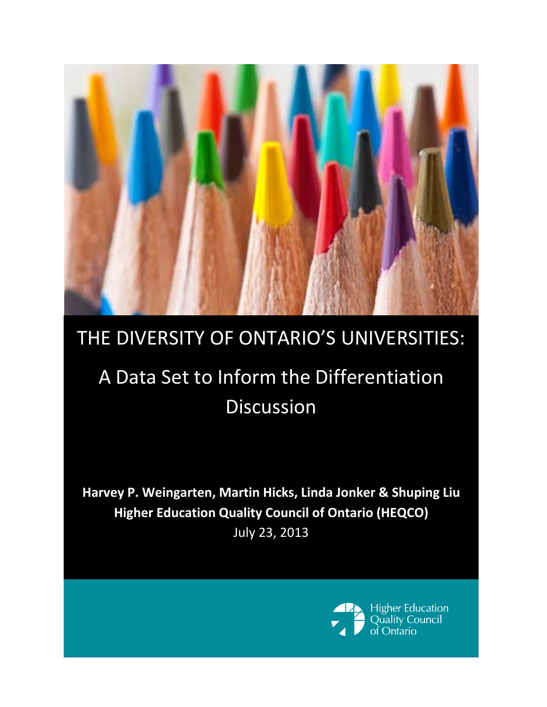

## THE DIVERSITY OF ONTARIO'S UNIVERSITIES:

# A Data Set to Inform the Differentiation Discussion

**Harvey P. Weingarten, Martin Hicks, Linda Jonker & Shuping Liu Higher Education Quality Council of Ontario (HEQCO)** July 23, 2013

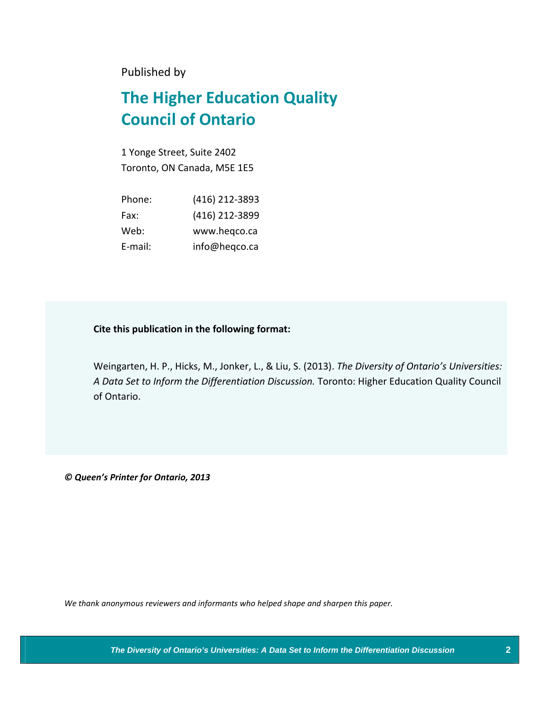Published by

## **The Higher Education Quality Council of Ontario**

1 Yonge Street, Suite 2402 Toronto, ON Canada, M5E 1E5

| Phone:  | (416) 212-3893 |
|---------|----------------|
| Fax:    | (416) 212-3899 |
| Web:    | www.heqco.ca   |
| E-mail: | info@heqco.ca  |

#### **Cite this publication in the following format:**

Weingarten, H. P., Hicks, M., Jonker, L., & Liu, S. (2013). *The Diversity of Ontario's Universities: A Data Set to Inform the Differentiation Discussion.* Toronto: Higher Education Quality Council of Ontario.

*© Queen's Printer for Ontario, 2013*

*We thank anonymous reviewers and informants who helped shape and sharpen this paper.*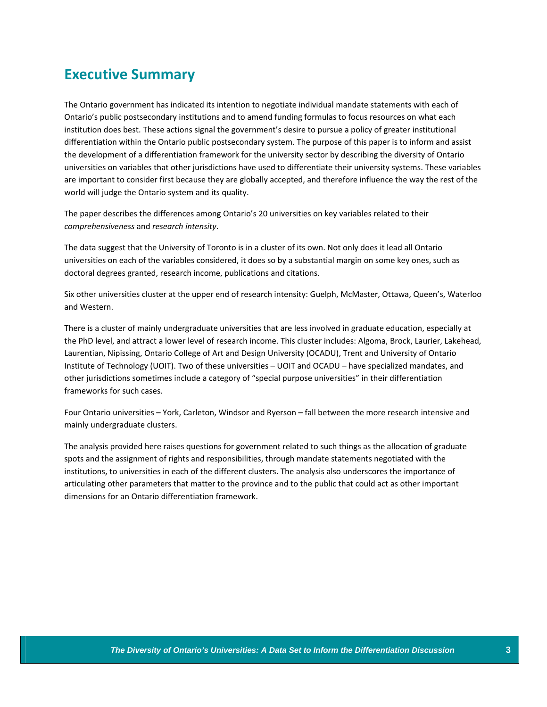## **Executive Summary**

The Ontario government has indicated its intention to negotiate individual mandate statements with each of Ontario's public postsecondary institutions and to amend funding formulas to focus resources on what each institution does best. These actions signal the government's desire to pursue a policy of greater institutional differentiation within the Ontario public postsecondary system. The purpose of this paper is to inform and assist the development of a differentiation framework for the university sector by describing the diversity of Ontario universities on variables that other jurisdictions have used to differentiate their university systems. These variables are important to consider first because they are globally accepted, and therefore influence the way the rest of the world will judge the Ontario system and its quality.

The paper describes the differences among Ontario's 20 universities on key variables related to their *comprehensiveness* and *research intensity*.

The data suggest that the University of Toronto is in a cluster of its own. Not only does it lead all Ontario universities on each of the variables considered, it does so by a substantial margin on some key ones, such as doctoral degrees granted, research income, publications and citations.

Six other universities cluster at the upper end of research intensity: Guelph, McMaster, Ottawa, Queen's, Waterloo and Western.

There is a cluster of mainly undergraduate universities that are less involved in graduate education, especially at the PhD level, and attract a lower level of research income. This cluster includes: Algoma, Brock, Laurier, Lakehead, Laurentian, Nipissing, Ontario College of Art and Design University (OCADU), Trent and University of Ontario Institute of Technology (UOIT). Two of these universities – UOIT and OCADU – have specialized mandates, and other jurisdictions sometimes include a category of "special purpose universities" in their differentiation frameworks for such cases.

Four Ontario universities – York, Carleton, Windsor and Ryerson – fall between the more research intensive and mainly undergraduate clusters.

The analysis provided here raises questions for government related to such things as the allocation of graduate spots and the assignment of rights and responsibilities, through mandate statements negotiated with the institutions, to universities in each of the different clusters. The analysis also underscores the importance of articulating other parameters that matter to the province and to the public that could act as other important dimensions for an Ontario differentiation framework.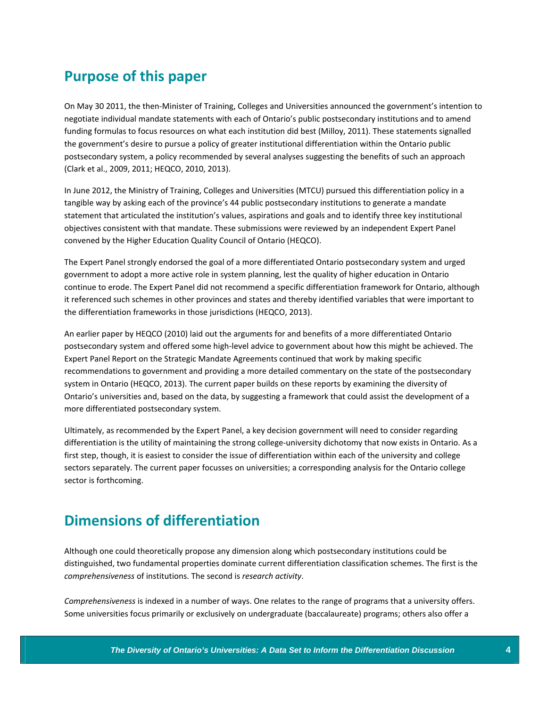## **Purpose of this paper**

On May 30 2011, the then‐Minister of Training, Colleges and Universities announced the government's intention to negotiate individual mandate statements with each of Ontario's public postsecondary institutions and to amend funding formulas to focus resources on what each institution did best (Milloy, 2011). These statements signalled the government's desire to pursue a policy of greater institutional differentiation within the Ontario public postsecondary system, a policy recommended by several analyses suggesting the benefits of such an approach (Clark et al., 2009, 2011; HEQCO, 2010, 2013).

In June 2012, the Ministry of Training, Colleges and Universities (MTCU) pursued this differentiation policy in a tangible way by asking each of the province's 44 public postsecondary institutions to generate a mandate statement that articulated the institution's values, aspirations and goals and to identify three key institutional objectives consistent with that mandate. These submissions were reviewed by an independent Expert Panel convened by the Higher Education Quality Council of Ontario (HEQCO).

The Expert Panel strongly endorsed the goal of a more differentiated Ontario postsecondary system and urged government to adopt a more active role in system planning, lest the quality of higher education in Ontario continue to erode. The Expert Panel did not recommend a specific differentiation framework for Ontario, although it referenced such schemes in other provinces and states and thereby identified variables that were important to the differentiation frameworks in those jurisdictions (HEQCO, 2013).

An earlier paper by HEQCO (2010) laid out the arguments for and benefits of a more differentiated Ontario postsecondary system and offered some high‐level advice to government about how this might be achieved. The Expert Panel Report on the Strategic Mandate Agreements continued that work by making specific recommendations to government and providing a more detailed commentary on the state of the postsecondary system in Ontario (HEQCO, 2013). The current paper builds on these reports by examining the diversity of Ontario's universities and, based on the data, by suggesting a framework that could assist the development of a more differentiated postsecondary system.

Ultimately, as recommended by the Expert Panel, a key decision government will need to consider regarding differentiation is the utility of maintaining the strong college-university dichotomy that now exists in Ontario. As a first step, though, it is easiest to consider the issue of differentiation within each of the university and college sectors separately. The current paper focusses on universities; a corresponding analysis for the Ontario college sector is forthcoming.

## **Dimensions of differentiation**

Although one could theoretically propose any dimension along which postsecondary institutions could be distinguished, two fundamental properties dominate current differentiation classification schemes. The first is the *comprehensiveness* of institutions. The second is *research activity*.

*Comprehensiveness* is indexed in a number of ways. One relates to the range of programs that a university offers. Some universities focus primarily or exclusively on undergraduate (baccalaureate) programs; others also offer a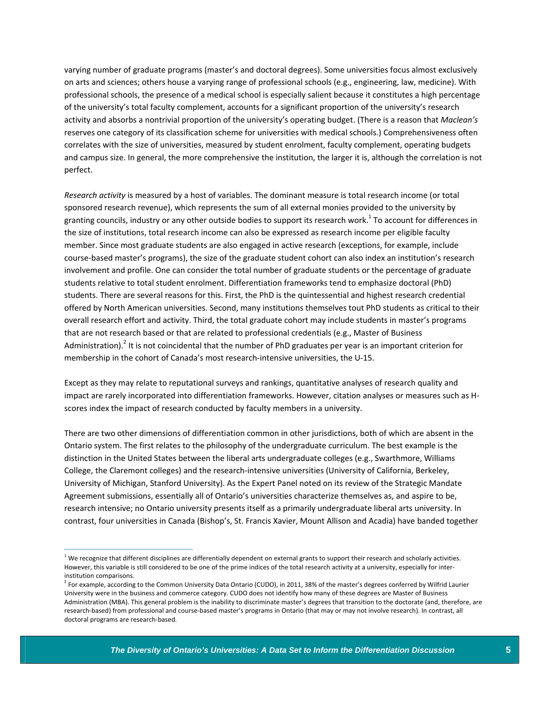varying number of graduate programs (master's and doctoral degrees). Some universities focus almost exclusively on arts and sciences; others house a varying range of professional schools (e.g., engineering, law, medicine). With professional schools, the presence of a medical school is especially salient because it constitutes a high percentage of the university's total faculty complement, accounts for a significant proportion of the university's research activity and absorbs a nontrivial proportion of the university's operating budget. (There is a reason that *Maclean's* reserves one category of its classification scheme for universities with medical schools.) Comprehensiveness often correlates with the size of universities, measured by student enrolment, faculty complement, operating budgets and campus size. In general, the more comprehensive the institution, the larger it is, although the correlation is not perfect.

*Research activity* is measured by a host of variables. The dominant measure is total research income (or total sponsored research revenue), which represents the sum of all external monies provided to the university by granting councils, industry or any other outside bodies to support its research work.<sup>1</sup> To account for differences in the size of institutions, total research income can also be expressed as research income per eligible faculty member. Since most graduate students are also engaged in active research (exceptions, for example, include course‐based master's programs), the size of the graduate student cohort can also index an institution's research involvement and profile. One can consider the total number of graduate students or the percentage of graduate students relative to total student enrolment. Differentiation frameworks tend to emphasize doctoral (PhD) students. There are several reasons for this. First, the PhD is the quintessential and highest research credential offered by North American universities. Second, many institutions themselves tout PhD students as critical to their overall research effort and activity. Third, the total graduate cohort may include students in master's programs that are not research based or that are related to professional credentials (e.g., Master of Business Administration).<sup>2</sup> It is not coincidental that the number of PhD graduates per year is an important criterion for membership in the cohort of Canada's most research-intensive universities, the U-15.

Except as they may relate to reputational surveys and rankings, quantitative analyses of research quality and impact are rarely incorporated into differentiation frameworks. However, citation analyses or measures such as H‐ scores index the impact of research conducted by faculty members in a university.

There are two other dimensions of differentiation common in other jurisdictions, both of which are absent in the Ontario system. The first relates to the philosophy of the undergraduate curriculum. The best example is the distinction in the United States between the liberal arts undergraduate colleges (e.g., Swarthmore, Williams College, the Claremont colleges) and the research‐intensive universities (University of California, Berkeley, University of Michigan, Stanford University). As the Expert Panel noted on its review of the Strategic Mandate Agreement submissions, essentially all of Ontario's universities characterize themselves as, and aspire to be, research intensive; no Ontario university presents itself as a primarily undergraduate liberal arts university. In contrast, four universities in Canada (Bishop's, St. Francis Xavier, Mount Allison and Acadia) have banded together

 $1$  We recognize that different disciplines are differentially dependent on external grants to support their research and scholarly activities. However, this variable is still considered to be one of the prime indices of the total research activity at a university, especially for interinstitution comparisons.

<sup>&</sup>lt;sup>2</sup> For example, according to the Common University Data Ontario (CUDO), in 2011, 38% of the master's degrees conferred by Wilfrid Laurier University were in the business and commerce category. CUDO does not identify how many of these degrees are Master of Business Administration (MBA). This general problem is the inability to discriminate master's degrees that transition to the doctorate (and, therefore, are research-based) from professional and course-based master's programs in Ontario (that may or may not involve research). In contrast, all doctoral programs are research‐based.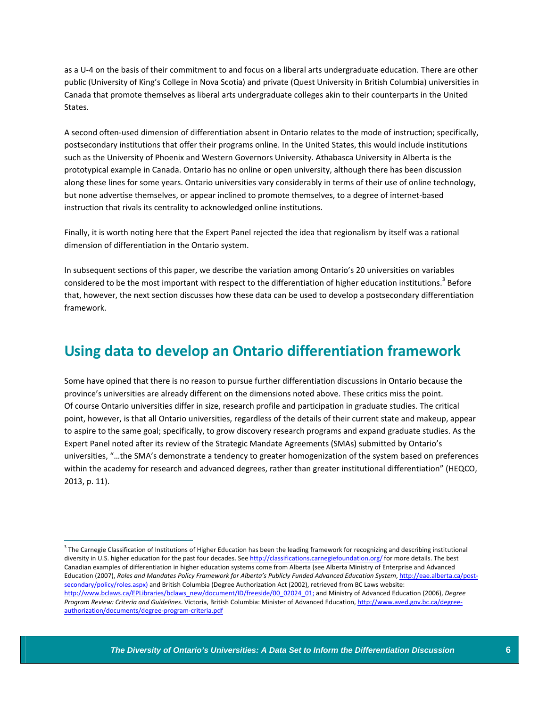as a U‐4 on the basis of their commitment to and focus on a liberal arts undergraduate education. There are other public (University of King's College in Nova Scotia) and private (Quest University in British Columbia) universities in Canada that promote themselves as liberal arts undergraduate colleges akin to their counterparts in the United States.

A second often‐used dimension of differentiation absent in Ontario relates to the mode of instruction; specifically, postsecondary institutions that offer their programs online. In the United States, this would include institutions such as the University of Phoenix and Western Governors University. Athabasca University in Alberta is the prototypical example in Canada. Ontario has no online or open university, although there has been discussion along these lines for some years. Ontario universities vary considerably in terms of their use of online technology, but none advertise themselves, or appear inclined to promote themselves, to a degree of internet‐based instruction that rivals its centrality to acknowledged online institutions.

Finally, it is worth noting here that the Expert Panel rejected the idea that regionalism by itself was a rational dimension of differentiation in the Ontario system.

In subsequent sections of this paper, we describe the variation among Ontario's 20 universities on variables considered to be the most important with respect to the differentiation of higher education institutions.<sup>3</sup> Before that, however, the next section discusses how these data can be used to develop a postsecondary differentiation framework.

### **Using data to develop an Ontario differentiation framework**

Some have opined that there is no reason to pursue further differentiation discussions in Ontario because the province's universities are already different on the dimensions noted above. These critics miss the point. Of course Ontario universities differ in size, research profile and participation in graduate studies. The critical point, however, is that all Ontario universities, regardless of the details of their current state and makeup, appear to aspire to the same goal; specifically, to grow discovery research programs and expand graduate studies. As the Expert Panel noted after its review of the Strategic Mandate Agreements (SMAs) submitted by Ontario's universities, "…the SMA's demonstrate a tendency to greater homogenization of the system based on preferences within the academy for research and advanced degrees, rather than greater institutional differentiation" (HEQCO, 2013, p. 11).

 $3$  The Carnegie Classification of Institutions of Higher Education has been the leading framework for recognizing and describing institutional diversity in U.S. higher education for the past four decades. See http://classifications.carnegiefoundation.org/ for more details. The best Canadian examples of differentiation in higher education systems come from Alberta (see Alberta Ministry of Enterprise and Advanced Education (2007), *Roles and Mandates Policy Framework for Alberta's Publicly Funded Advanced Education System*, http://eae.alberta.ca/post‐ secondary/policy/roles.aspx) and British Columbia (Degree Authorization Act (2002), retrieved from BC Laws website: http://www.bclaws.ca/EPLibraries/bclaws\_new/document/ID/freeside/00\_02024\_01; and Ministry of Advanced Education (2006), *Degree Program Review: Criteria and Guidelines*. Victoria, British Columbia: Minister of Advanced Education, http://www.aved.gov.bc.ca/degree‐ authorization/documents/degree‐program‐criteria.pdf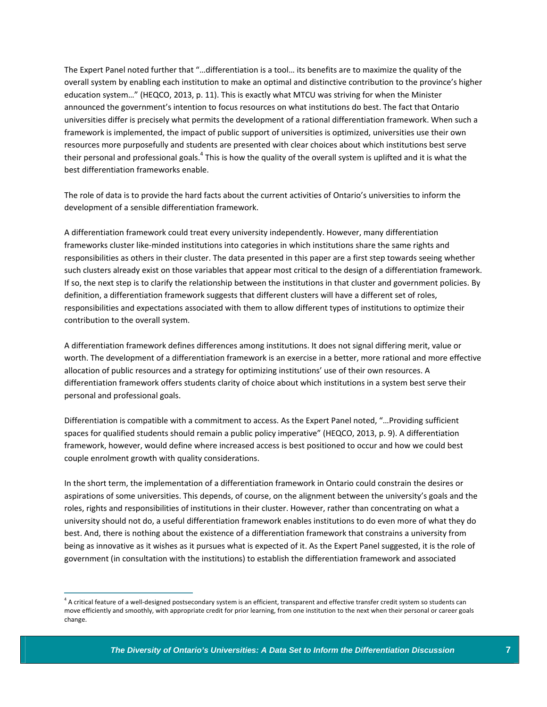The Expert Panel noted further that "…differentiation is a tool… its benefits are to maximize the quality of the overall system by enabling each institution to make an optimal and distinctive contribution to the province's higher education system…" (HEQCO, 2013, p. 11). This is exactly what MTCU was striving for when the Minister announced the government's intention to focus resources on what institutions do best. The fact that Ontario universities differ is precisely what permits the development of a rational differentiation framework. When such a framework is implemented, the impact of public support of universities is optimized, universities use their own resources more purposefully and students are presented with clear choices about which institutions best serve their personal and professional goals.<sup>4</sup> This is how the quality of the overall system is uplifted and it is what the best differentiation frameworks enable.

The role of data is to provide the hard facts about the current activities of Ontario's universities to inform the development of a sensible differentiation framework.

A differentiation framework could treat every university independently. However, many differentiation frameworks cluster like‐minded institutions into categories in which institutions share the same rights and responsibilities as others in their cluster. The data presented in this paper are a first step towards seeing whether such clusters already exist on those variables that appear most critical to the design of a differentiation framework. If so, the next step is to clarify the relationship between the institutions in that cluster and government policies. By definition, a differentiation framework suggests that different clusters will have a different set of roles, responsibilities and expectations associated with them to allow different types of institutions to optimize their contribution to the overall system.

A differentiation framework defines differences among institutions. It does not signal differing merit, value or worth. The development of a differentiation framework is an exercise in a better, more rational and more effective allocation of public resources and a strategy for optimizing institutions' use of their own resources. A differentiation framework offers students clarity of choice about which institutions in a system best serve their personal and professional goals.

Differentiation is compatible with a commitment to access. As the Expert Panel noted, "…Providing sufficient spaces for qualified students should remain a public policy imperative" (HEQCO, 2013, p. 9). A differentiation framework, however, would define where increased access is best positioned to occur and how we could best couple enrolment growth with quality considerations.

In the short term, the implementation of a differentiation framework in Ontario could constrain the desires or aspirations of some universities. This depends, of course, on the alignment between the university's goals and the roles, rights and responsibilities of institutions in their cluster. However, rather than concentrating on what a university should not do, a useful differentiation framework enables institutions to do even more of what they do best. And, there is nothing about the existence of a differentiation framework that constrains a university from being as innovative as it wishes as it pursues what is expected of it. As the Expert Panel suggested, it is the role of government (in consultation with the institutions) to establish the differentiation framework and associated

 $4$  A critical feature of a well-designed postsecondary system is an efficient, transparent and effective transfer credit system so students can move efficiently and smoothly, with appropriate credit for prior learning, from one institution to the next when their personal or career goals change.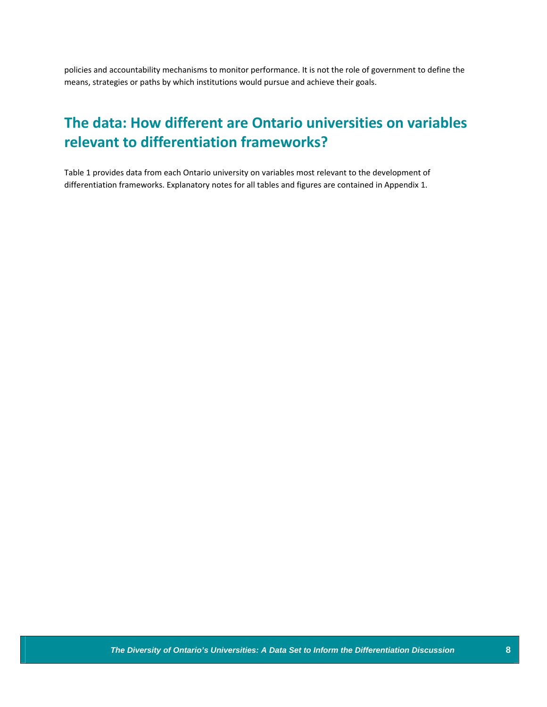policies and accountability mechanisms to monitor performance. It is not the role of government to define the means, strategies or paths by which institutions would pursue and achieve their goals.

## **The data: How different are Ontario universities on variables relevant to differentiation frameworks?**

Table 1 provides data from each Ontario university on variables most relevant to the development of differentiation frameworks. Explanatory notes for all tables and figures are contained in Appendix 1.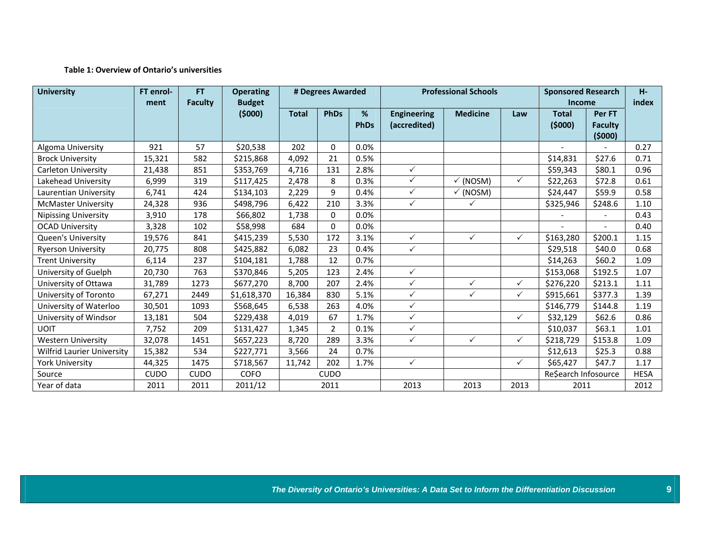#### **Table 1: Overview of Ontario's universities**

| <b>University</b>                 | FT enrol-<br>ment | FT.<br><b>Faculty</b> | <b>Operating</b><br><b>Budget</b> | # Degrees Awarded |                | <b>Professional Schools</b> |                                    |                     | <b>Sponsored Research</b><br><b>Income</b> |                        | H <sub>2</sub><br>index            |             |
|-----------------------------------|-------------------|-----------------------|-----------------------------------|-------------------|----------------|-----------------------------|------------------------------------|---------------------|--------------------------------------------|------------------------|------------------------------------|-------------|
|                                   |                   |                       | (5000)                            | <b>Total</b>      | <b>PhDs</b>    | %<br><b>PhDs</b>            | <b>Engineering</b><br>(accredited) | <b>Medicine</b>     | Law                                        | <b>Total</b><br>(5000) | Per FT<br><b>Faculty</b><br>(5000) |             |
| Algoma University                 | 921               | 57                    | \$20,538                          | 202               | $\Omega$       | 0.0%                        |                                    |                     |                                            |                        |                                    | 0.27        |
| <b>Brock University</b>           | 15,321            | 582                   | \$215,868                         | 4,092             | 21             | 0.5%                        |                                    |                     |                                            | \$14,831               | \$27.6                             | 0.71        |
| Carleton University               | 21,438            | 851                   | \$353,769                         | 4,716             | 131            | 2.8%                        | $\checkmark$                       |                     |                                            | \$59,343               | \$80.1                             | 0.96        |
| Lakehead University               | 6,999             | 319                   | \$117,425                         | 2,478             | 8              | 0.3%                        | $\checkmark$                       | √ (NOSM)            | $\checkmark$                               | \$22,263               | \$72.8                             | 0.61        |
| Laurentian University             | 6,741             | 424                   | \$134,103                         | 2,229             | 9              | 0.4%                        | $\checkmark$                       | $\checkmark$ (NOSM) |                                            | \$24,447               | \$59.9                             | 0.58        |
| <b>McMaster University</b>        | 24,328            | 936                   | \$498,796                         | 6,422             | 210            | 3.3%                        | $\checkmark$                       | $\checkmark$        |                                            | \$325,946              | \$248.6                            | 1.10        |
| <b>Nipissing University</b>       | 3,910             | 178                   | \$66,802                          | 1,738             | $\Omega$       | 0.0%                        |                                    |                     |                                            |                        |                                    | 0.43        |
| <b>OCAD University</b>            | 3,328             | 102                   | \$58,998                          | 684               | 0              | 0.0%                        |                                    |                     |                                            |                        | $\blacksquare$                     | 0.40        |
| <b>Queen's University</b>         | 19,576            | 841                   | \$415,239                         | 5,530             | 172            | 3.1%                        | $\checkmark$                       | $\checkmark$        | $\checkmark$                               | \$163,280              | \$200.1                            | 1.15        |
| <b>Ryerson University</b>         | 20,775            | 808                   | \$425,882                         | 6,082             | 23             | 0.4%                        | $\checkmark$                       |                     |                                            | \$29,518               | \$40.0                             | 0.68        |
| <b>Trent University</b>           | 6,114             | 237                   | \$104,181                         | 1,788             | 12             | 0.7%                        |                                    |                     |                                            | \$14,263               | \$60.2\$                           | 1.09        |
| University of Guelph              | 20,730            | 763                   | \$370,846                         | 5,205             | 123            | 2.4%                        | ✓                                  |                     |                                            | \$153,068              | \$192.5                            | 1.07        |
| University of Ottawa              | 31,789            | 1273                  | \$677,270                         | 8,700             | 207            | 2.4%                        | $\checkmark$                       | $\checkmark$        | ✓                                          | \$276,220              | \$213.1                            | 1.11        |
| University of Toronto             | 67,271            | 2449                  | \$1,618,370                       | 16,384            | 830            | 5.1%                        | $\checkmark$                       | $\checkmark$        | $\checkmark$                               | \$915,661              | \$377.3                            | 1.39        |
| University of Waterloo            | 30,501            | 1093                  | \$568,645                         | 6,538             | 263            | 4.0%                        | $\checkmark$                       |                     |                                            | \$146,779              | \$144.8                            | 1.19        |
| University of Windsor             | 13,181            | 504                   | \$229,438                         | 4,019             | 67             | 1.7%                        | $\checkmark$                       |                     | ✓                                          | \$32,129               | \$62.6                             | 0.86        |
| <b>UOIT</b>                       | 7,752             | 209                   | \$131,427                         | 1,345             | $\overline{2}$ | 0.1%                        | $\checkmark$                       |                     |                                            | \$10,037               | \$63.1                             | 1.01        |
| <b>Western University</b>         | 32,078            | 1451                  | \$657,223                         | 8,720             | 289            | 3.3%                        | $\checkmark$                       | $\checkmark$        | $\checkmark$                               | \$218,729              | \$153.8                            | 1.09        |
| <b>Wilfrid Laurier University</b> | 15,382            | 534                   | \$227,771                         | 3,566             | 24             | 0.7%                        |                                    |                     |                                            | \$12,613               | \$25.3                             | 0.88        |
| <b>York University</b>            | 44,325            | 1475                  | \$718,567                         | 11,742            | 202            | 1.7%                        | $\checkmark$                       |                     | $\checkmark$                               | \$65,427               | \$47.7                             | 1.17        |
| Source                            | <b>CUDO</b>       | <b>CUDO</b>           | <b>COFO</b>                       |                   | <b>CUDO</b>    |                             |                                    |                     |                                            | Re\$earch Infosource   |                                    | <b>HESA</b> |
| Year of data                      | 2011              | 2011                  | 2011/12                           |                   | 2011           |                             | 2013                               | 2013                | 2013                                       | 2011                   |                                    | 2012        |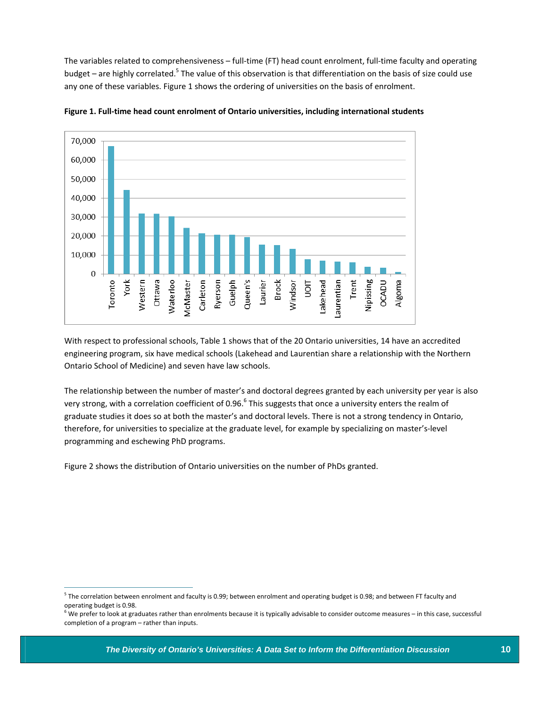The variables related to comprehensiveness – full‐time (FT) head count enrolment, full‐time faculty and operating budget – are highly correlated.<sup>5</sup> The value of this observation is that differentiation on the basis of size could use any one of these variables. Figure 1 shows the ordering of universities on the basis of enrolment.



**Figure 1. Full‐time head count enrolment of Ontario universities, including international students** 

With respect to professional schools, Table 1 shows that of the 20 Ontario universities, 14 have an accredited engineering program, six have medical schools (Lakehead and Laurentian share a relationship with the Northern Ontario School of Medicine) and seven have law schools.

The relationship between the number of master's and doctoral degrees granted by each university per year is also very strong, with a correlation coefficient of 0.96.<sup>6</sup> This suggests that once a university enters the realm of graduate studies it does so at both the master's and doctoral levels. There is not a strong tendency in Ontario, therefore, for universities to specialize at the graduate level, for example by specializing on master's‐level programming and eschewing PhD programs.

Figure 2 shows the distribution of Ontario universities on the number of PhDs granted.

 $5$  The correlation between enrolment and faculty is 0.99; between enrolment and operating budget is 0.98; and between FT faculty and operating budget is 0.98.

 $^{\circ}$  We prefer to look at graduates rather than enrolments because it is typically advisable to consider outcome measures – in this case, successful completion of a program – rather than inputs.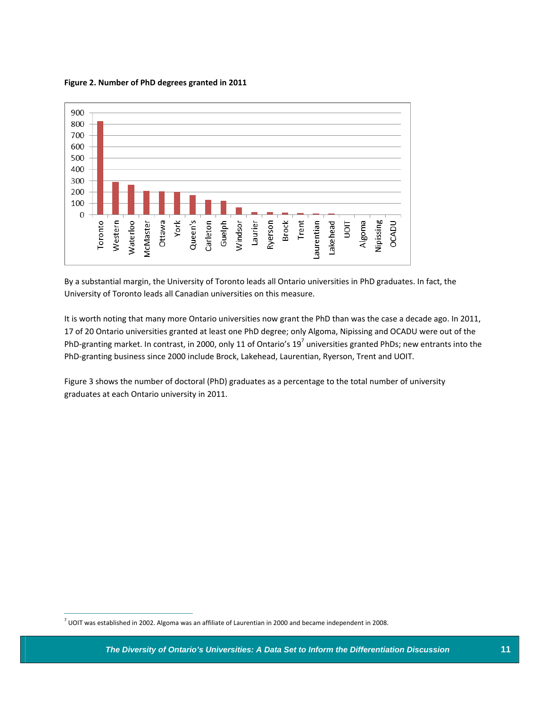**Figure 2. Number of PhD degrees granted in 2011** 



By a substantial margin, the University of Toronto leads all Ontario universities in PhD graduates. In fact, the University of Toronto leads all Canadian universities on this measure.

It is worth noting that many more Ontario universities now grant the PhD than was the case a decade ago. In 2011, 17 of 20 Ontario universities granted at least one PhD degree; only Algoma, Nipissing and OCADU were out of the PhD-granting market. In contrast, in 2000, only 11 of Ontario's  $19^7$  universities granted PhDs; new entrants into the PhD‐granting business since 2000 include Brock, Lakehead, Laurentian, Ryerson, Trent and UOIT.

Figure 3 shows the number of doctoral (PhD) graduates as a percentage to the total number of university graduates at each Ontario university in 2011.

 $^7$  UOIT was established in 2002. Algoma was an affiliate of Laurentian in 2000 and became independent in 2008.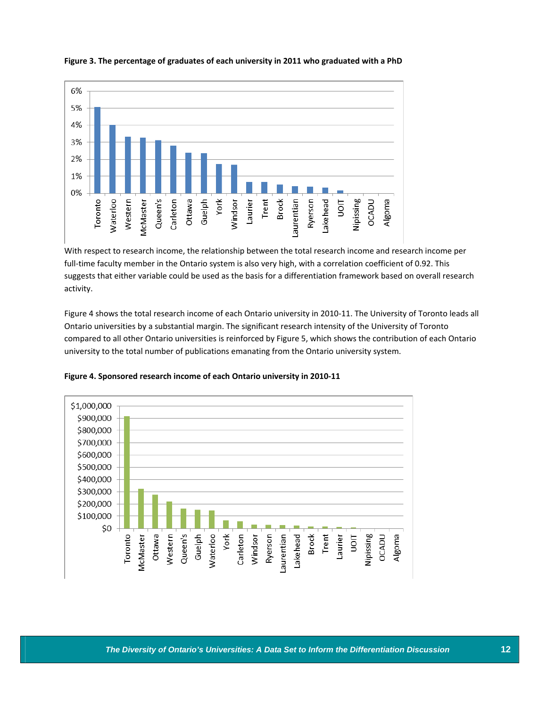

#### **Figure 3. The percentage of graduates of each university in 2011 who graduated with a PhD**

With respect to research income, the relationship between the total research income and research income per full-time faculty member in the Ontario system is also very high, with a correlation coefficient of 0.92. This suggests that either variable could be used as the basis for a differentiation framework based on overall research activity.

Figure 4 shows the total research income of each Ontario university in 2010‐11. The University of Toronto leads all Ontario universities by a substantial margin. The significant research intensity of the University of Toronto compared to all other Ontario universities is reinforced by Figure 5, which shows the contribution of each Ontario university to the total number of publications emanating from the Ontario university system.



**Figure 4. Sponsored research income of each Ontario university in 2010‐11**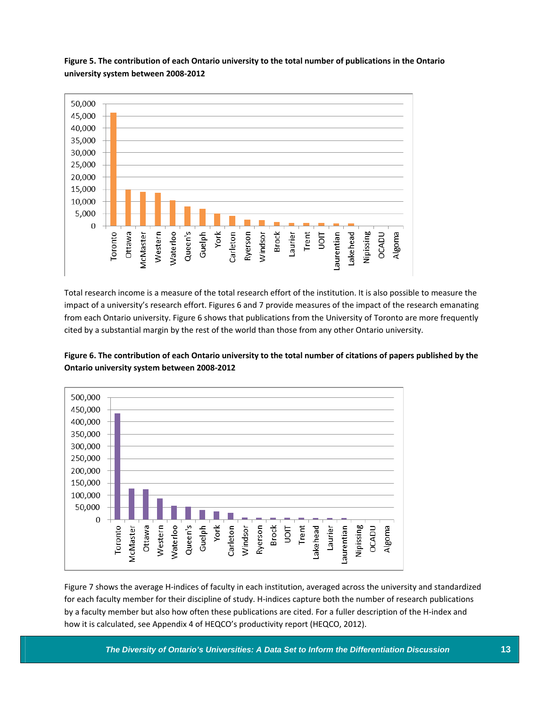

**Figure 5. The contribution of each Ontario university to the total number of publications in the Ontario university system between 2008‐2012**

Total research income is a measure of the total research effort of the institution. It is also possible to measure the impact of a university's research effort. Figures 6 and 7 provide measures of the impact of the research emanating from each Ontario university. Figure 6 shows that publications from the University of Toronto are more frequently cited by a substantial margin by the rest of the world than those from any other Ontario university.





Figure 7 shows the average H‐indices of faculty in each institution, averaged across the university and standardized for each faculty member for their discipline of study. H-indices capture both the number of research publications by a faculty member but also how often these publications are cited. For a fuller description of the H‐index and how it is calculated, see Appendix 4 of HEQCO's productivity report (HEQCO, 2012).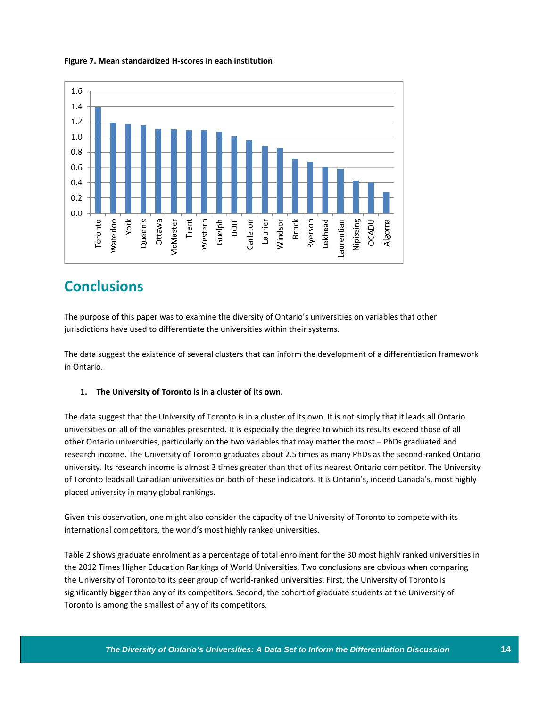

#### **Figure 7. Mean standardized H‐scores in each institution**

## **Conclusions**

The purpose of this paper was to examine the diversity of Ontario's universities on variables that other jurisdictions have used to differentiate the universities within their systems.

The data suggest the existence of several clusters that can inform the development of a differentiation framework in Ontario.

#### **1. The University of Toronto is in a cluster of its own.**

The data suggest that the University of Toronto is in a cluster of its own. It is not simply that it leads all Ontario universities on all of the variables presented. It is especially the degree to which its results exceed those of all other Ontario universities, particularly on the two variables that may matter the most – PhDs graduated and research income. The University of Toronto graduates about 2.5 times as many PhDs as the second‐ranked Ontario university. Its research income is almost 3 times greater than that of its nearest Ontario competitor. The University of Toronto leads all Canadian universities on both of these indicators. It is Ontario's, indeed Canada's, most highly placed university in many global rankings.

Given this observation, one might also consider the capacity of the University of Toronto to compete with its international competitors, the world's most highly ranked universities.

Table 2 shows graduate enrolment as a percentage of total enrolment for the 30 most highly ranked universities in the 2012 Times Higher Education Rankings of World Universities. Two conclusions are obvious when comparing the University of Toronto to its peer group of world-ranked universities. First, the University of Toronto is significantly bigger than any of its competitors. Second, the cohort of graduate students at the University of Toronto is among the smallest of any of its competitors.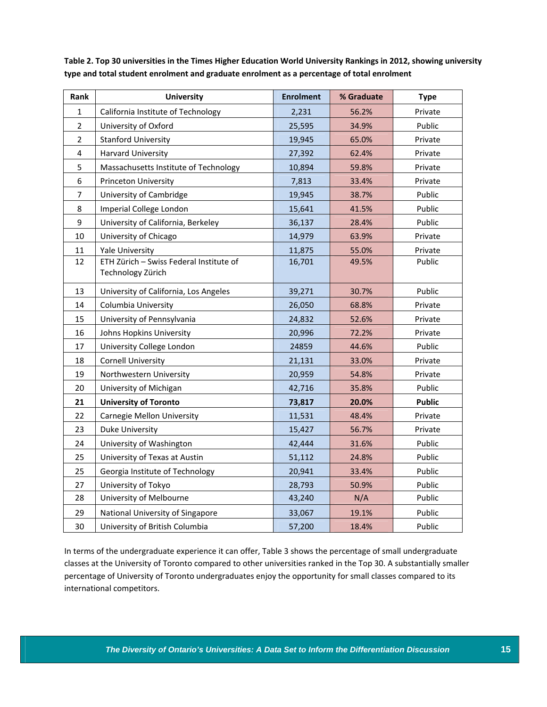| Rank           | <b>University</b>                                            | <b>Enrolment</b> | % Graduate | <b>Type</b>   |
|----------------|--------------------------------------------------------------|------------------|------------|---------------|
| $\mathbf{1}$   | California Institute of Technology                           | 2,231            | 56.2%      | Private       |
| $\overline{2}$ | University of Oxford                                         | 25,595           | 34.9%      | Public        |
| $\overline{2}$ | <b>Stanford University</b>                                   | 19,945           | 65.0%      | Private       |
| 4              | <b>Harvard University</b>                                    | 27,392           | 62.4%      | Private       |
| 5              | Massachusetts Institute of Technology                        | 10,894           | 59.8%      | Private       |
| 6              | <b>Princeton University</b>                                  | 7,813            | 33.4%      | Private       |
| $\overline{7}$ | University of Cambridge                                      | 19,945           | 38.7%      | Public        |
| 8              | Imperial College London                                      | 15,641           | 41.5%      | Public        |
| 9              | University of California, Berkeley                           | 36,137           | 28.4%      | Public        |
| 10             | University of Chicago                                        | 14,979           | 63.9%      | Private       |
| 11             | <b>Yale University</b>                                       | 11,875           | 55.0%      | Private       |
| 12             | ETH Zürich - Swiss Federal Institute of<br>Technology Zürich | 16,701           | 49.5%      | Public        |
| 13             | University of California, Los Angeles                        | 39,271           | 30.7%      | Public        |
| 14             | Columbia University                                          | 26,050           | 68.8%      | Private       |
| 15             | University of Pennsylvania                                   | 24,832           | 52.6%      | Private       |
| 16             | Johns Hopkins University                                     | 20,996           | 72.2%      | Private       |
| 17             | University College London                                    | 24859            | 44.6%      | Public        |
| 18             | <b>Cornell University</b>                                    | 21,131           | 33.0%      | Private       |
| 19             | Northwestern University                                      | 20,959           | 54.8%      | Private       |
| 20             | University of Michigan                                       | 42,716           | 35.8%      | Public        |
| 21             | <b>University of Toronto</b>                                 | 73,817           | 20.0%      | <b>Public</b> |
| 22             | <b>Carnegie Mellon University</b>                            | 11,531           | 48.4%      | Private       |
| 23             | Duke University                                              | 15,427           | 56.7%      | Private       |
| 24             | University of Washington                                     | 42,444           | 31.6%      | Public        |
| 25             | University of Texas at Austin                                | 51,112           | 24.8%      | Public        |
| 25             | Georgia Institute of Technology                              | 20,941           | 33.4%      | Public        |
| 27             | University of Tokyo                                          | 28,793           | 50.9%      | Public        |
| 28             | University of Melbourne                                      | 43,240           | N/A        | Public        |
| 29             | National University of Singapore                             | 33,067           | 19.1%      | Public        |
| 30             | University of British Columbia                               | 57,200           | 18.4%      | Public        |

Table 2. Top 30 universities in the Times Higher Education World University Rankings in 2012, showing university **type and total student enrolment and graduate enrolment as a percentage of total enrolment**

In terms of the undergraduate experience it can offer, Table 3 shows the percentage of small undergraduate classes at the University of Toronto compared to other universities ranked in the Top 30. A substantially smaller percentage of University of Toronto undergraduates enjoy the opportunity for small classes compared to its international competitors.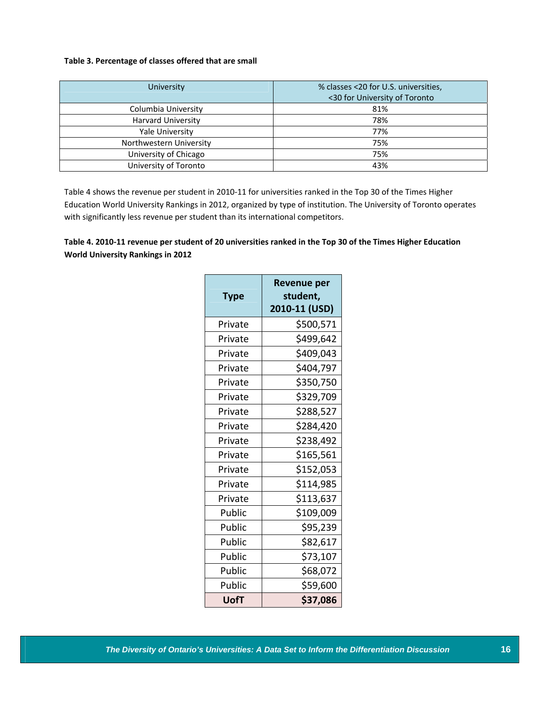#### **Table 3. Percentage of classes offered that are small**

| University                | % classes <20 for U.S. universities,<br><30 for University of Toronto |
|---------------------------|-----------------------------------------------------------------------|
| Columbia University       | 81%                                                                   |
| <b>Harvard University</b> | 78%                                                                   |
| Yale University           | 77%                                                                   |
| Northwestern University   | 75%                                                                   |
| University of Chicago     | 75%                                                                   |
| University of Toronto     | 43%                                                                   |

Table 4 shows the revenue per student in 2010-11 for universities ranked in the Top 30 of the Times Higher Education World University Rankings in 2012, organized by type of institution. The University of Toronto operates with significantly less revenue per student than its international competitors.

#### Table 4. 2010-11 revenue per student of 20 universities ranked in the Top 30 of the Times Higher Education **World University Rankings in 2012**

| <b>Type</b> | Revenue per<br>student,<br>2010-11 (USD) |
|-------------|------------------------------------------|
| Private     | \$500,571                                |
| Private     | \$499,642                                |
| Private     | \$409,043                                |
| Private     | \$404,797                                |
| Private     | \$350,750                                |
| Private     | \$329,709                                |
| Private     | \$288,527                                |
| Private     | \$284,420                                |
| Private     | \$238,492                                |
| Private     | \$165,561                                |
| Private     | \$152,053                                |
| Private     | \$114,985                                |
| Private     | \$113,637                                |
| Public      | \$109,009                                |
| Public      | \$95,239                                 |
| Public      | \$82,617                                 |
| Public      | \$73,107                                 |
| Public      | \$68,072                                 |
| Public      | \$59,600                                 |
| UofT        | \$37,086                                 |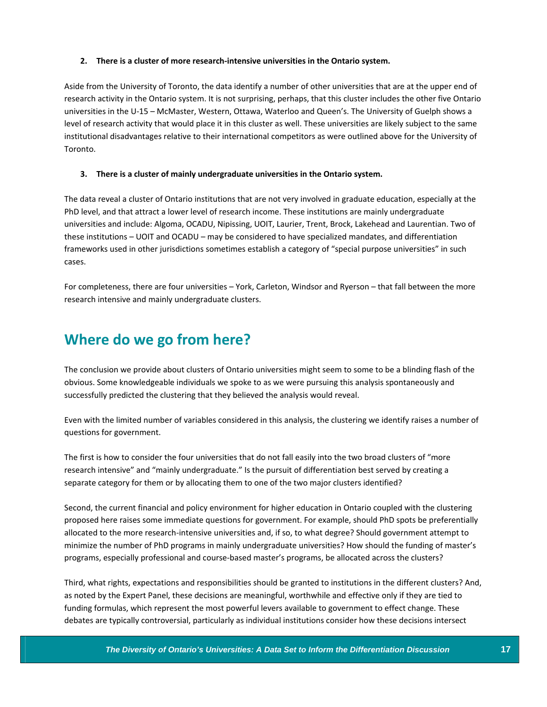#### **2. There is a cluster of more research‐intensive universities in the Ontario system.**

Aside from the University of Toronto, the data identify a number of other universities that are at the upper end of research activity in the Ontario system. It is not surprising, perhaps, that this cluster includes the other five Ontario universities in the U-15 – McMaster, Western, Ottawa, Waterloo and Queen's. The University of Guelph shows a level of research activity that would place it in this cluster as well. These universities are likely subject to the same institutional disadvantages relative to their international competitors as were outlined above for the University of Toronto.

#### **3. There is a cluster of mainly undergraduate universities in the Ontario system.**

The data reveal a cluster of Ontario institutions that are not very involved in graduate education, especially at the PhD level, and that attract a lower level of research income. These institutions are mainly undergraduate universities and include: Algoma, OCADU, Nipissing, UOIT, Laurier, Trent, Brock, Lakehead and Laurentian. Two of these institutions – UOIT and OCADU – may be considered to have specialized mandates, and differentiation frameworks used in other jurisdictions sometimes establish a category of "special purpose universities" in such cases.

For completeness, there are four universities – York, Carleton, Windsor and Ryerson – that fall between the more research intensive and mainly undergraduate clusters.

## **Where do we go from here?**

The conclusion we provide about clusters of Ontario universities might seem to some to be a blinding flash of the obvious. Some knowledgeable individuals we spoke to as we were pursuing this analysis spontaneously and successfully predicted the clustering that they believed the analysis would reveal.

Even with the limited number of variables considered in this analysis, the clustering we identify raises a number of questions for government.

The first is how to consider the four universities that do not fall easily into the two broad clusters of "more research intensive" and "mainly undergraduate." Is the pursuit of differentiation best served by creating a separate category for them or by allocating them to one of the two major clusters identified?

Second, the current financial and policy environment for higher education in Ontario coupled with the clustering proposed here raises some immediate questions for government. For example, should PhD spots be preferentially allocated to the more research‐intensive universities and, if so, to what degree? Should government attempt to minimize the number of PhD programs in mainly undergraduate universities? How should the funding of master's programs, especially professional and course-based master's programs, be allocated across the clusters?

Third, what rights, expectations and responsibilities should be granted to institutions in the different clusters? And, as noted by the Expert Panel, these decisions are meaningful, worthwhile and effective only if they are tied to funding formulas, which represent the most powerful levers available to government to effect change. These debates are typically controversial, particularly as individual institutions consider how these decisions intersect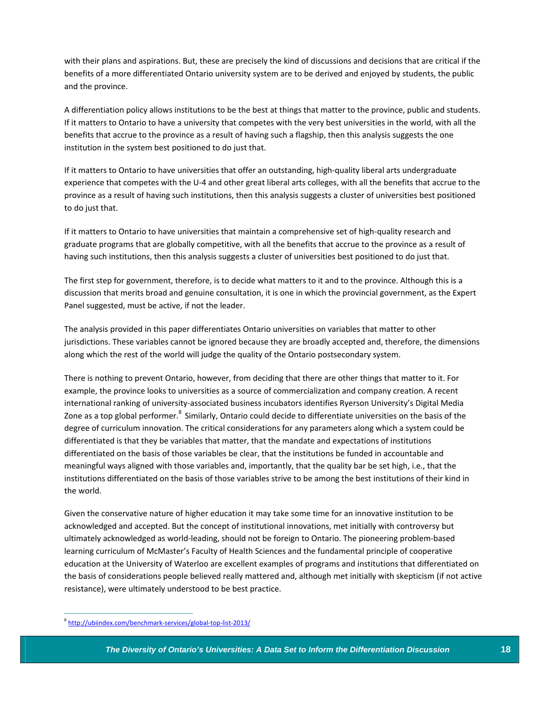with their plans and aspirations. But, these are precisely the kind of discussions and decisions that are critical if the benefits of a more differentiated Ontario university system are to be derived and enjoyed by students, the public and the province.

A differentiation policy allows institutions to be the best at things that matter to the province, public and students. If it matters to Ontario to have a university that competes with the very best universities in the world, with all the benefits that accrue to the province as a result of having such a flagship, then this analysis suggests the one institution in the system best positioned to do just that.

If it matters to Ontario to have universities that offer an outstanding, high‐quality liberal arts undergraduate experience that competes with the U‐4 and other great liberal arts colleges, with all the benefits that accrue to the province as a result of having such institutions, then this analysis suggests a cluster of universities best positioned to do just that.

If it matters to Ontario to have universities that maintain a comprehensive set of high‐quality research and graduate programs that are globally competitive, with all the benefits that accrue to the province as a result of having such institutions, then this analysis suggests a cluster of universities best positioned to do just that.

The first step for government, therefore, is to decide what matters to it and to the province. Although this is a discussion that merits broad and genuine consultation, it is one in which the provincial government, as the Expert Panel suggested, must be active, if not the leader.

The analysis provided in this paper differentiates Ontario universities on variables that matter to other jurisdictions. These variables cannot be ignored because they are broadly accepted and, therefore, the dimensions along which the rest of the world will judge the quality of the Ontario postsecondary system.

There is nothing to prevent Ontario, however, from deciding that there are other things that matter to it. For example, the province looks to universities as a source of commercialization and company creation. A recent international ranking of university‐associated business incubators identifies Ryerson University's Digital Media Zone as a top global performer.<sup>8</sup> Similarly, Ontario could decide to differentiate universities on the basis of the degree of curriculum innovation. The critical considerations for any parameters along which a system could be differentiated is that they be variables that matter, that the mandate and expectations of institutions differentiated on the basis of those variables be clear, that the institutions be funded in accountable and meaningful ways aligned with those variables and, importantly, that the quality bar be set high, i.e., that the institutions differentiated on the basis of those variables strive to be among the best institutions of their kind in the world.

Given the conservative nature of higher education it may take some time for an innovative institution to be acknowledged and accepted. But the concept of institutional innovations, met initially with controversy but ultimately acknowledged as world‐leading, should not be foreign to Ontario. The pioneering problem‐based learning curriculum of McMaster's Faculty of Health Sciences and the fundamental principle of cooperative education at the University of Waterloo are excellent examples of programs and institutions that differentiated on the basis of considerations people believed really mattered and, although met initially with skepticism (if not active resistance), were ultimately understood to be best practice.

<sup>8</sup> http://ubiindex.com/benchmark‐services/global‐top‐list‐2013/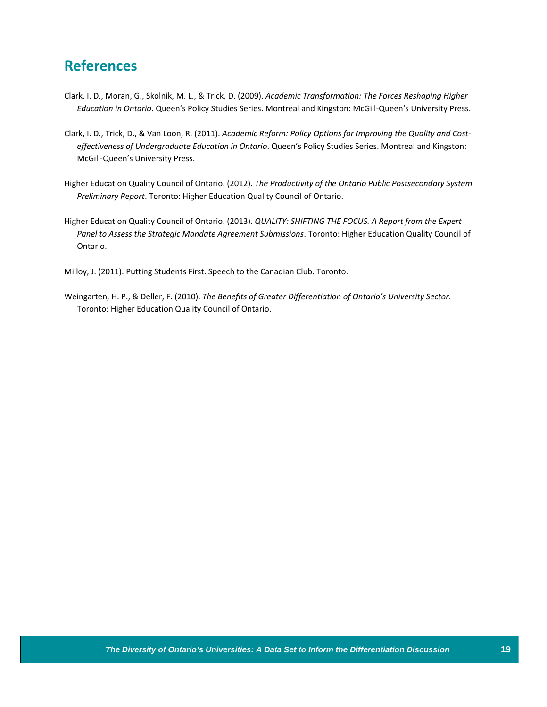### **References**

- Clark, I. D., Moran, G., Skolnik, M. L., & Trick, D. (2009). *Academic Transformation: The Forces Reshaping Higher Education in Ontario*. Queen's Policy Studies Series. Montreal and Kingston: McGill‐Queen's University Press.
- Clark, I. D., Trick, D., & Van Loon, R. (2011). *Academic Reform: Policy Options for Improving the Quality and Cost‐ effectiveness of Undergraduate Education in Ontario*. Queen's Policy Studies Series. Montreal and Kingston: McGill‐Queen's University Press.
- Higher Education Quality Council of Ontario. (2012). *The Productivity of the Ontario Public Postsecondary System Preliminary Report*. Toronto: Higher Education Quality Council of Ontario.
- Higher Education Quality Council of Ontario. (2013). *QUALITY: SHIFTING THE FOCUS. A Report from the Expert Panel to Assess the Strategic Mandate Agreement Submissions*. Toronto: Higher Education Quality Council of Ontario.

Milloy, J. (2011). Putting Students First. Speech to the Canadian Club. Toronto.

Weingarten, H. P., & Deller, F. (2010). *The Benefits of Greater Differentiation of Ontario's University Sector*. Toronto: Higher Education Quality Council of Ontario.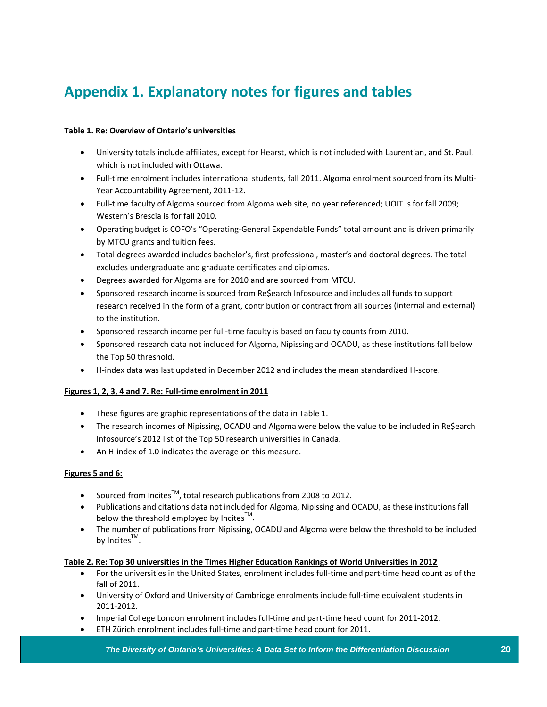## **Appendix 1. Explanatory notes for figures and tables**

#### **Table 1. Re: Overview of Ontario's universities**

- University totals include affiliates, except for Hearst, which is not included with Laurentian, and St. Paul, which is not included with Ottawa.
- Full-time enrolment includes international students, fall 2011. Algoma enrolment sourced from its Multi-Year Accountability Agreement, 2011‐12.
- Full-time faculty of Algoma sourced from Algoma web site, no year referenced; UOIT is for fall 2009; Western's Brescia is for fall 2010.
- Operating budget is COFO's "Operating‐General Expendable Funds" total amount and is driven primarily by MTCU grants and tuition fees.
- Total degrees awarded includes bachelor's, first professional, master's and doctoral degrees. The total excludes undergraduate and graduate certificates and diplomas.
- Degrees awarded for Algoma are for 2010 and are sourced from MTCU.
- Sponsored research income is sourced from Re\$earch Infosource and includes all funds to support research received in the form of a grant, contribution or contract from all sources (internal and external) to the institution.
- Sponsored research income per full-time faculty is based on faculty counts from 2010.
- Sponsored research data not included for Algoma, Nipissing and OCADU, as these institutions fall below the Top 50 threshold.
- H‐index data was last updated in December 2012 and includes the mean standardized H‐score.

#### **Figures 1, 2, 3, 4 and 7. Re: Full‐time enrolment in 2011**

- These figures are graphic representations of the data in Table 1.
- The research incomes of Nipissing, OCADU and Algoma were below the value to be included in Re\$earch Infosource's 2012 list of the Top 50 research universities in Canada.
- An H‐index of 1.0 indicates the average on this measure.

#### **Figures 5 and 6:**

- Sourced from Incites™, total research publications from 2008 to 2012.
- Publications and citations data not included for Algoma, Nipissing and OCADU, as these institutions fall below the threshold employed by Incites<sup>TM</sup>.
- The number of publications from Nipissing, OCADU and Algoma were below the threshold to be included by Incites<sup>TM</sup>.

#### **Table 2. Re: Top 30 universities in the Times Higher Education Rankings of World Universities in 2012**

- For the universities in the United States, enrolment includes full‐time and part‐time head count as of the fall of 2011.
- University of Oxford and University of Cambridge enrolments include full‐time equivalent students in 2011‐2012.
- Imperial College London enrolment includes full-time and part-time head count for 2011-2012.
- ETH Zürich enrolment includes full‐time and part‐time head count for 2011.